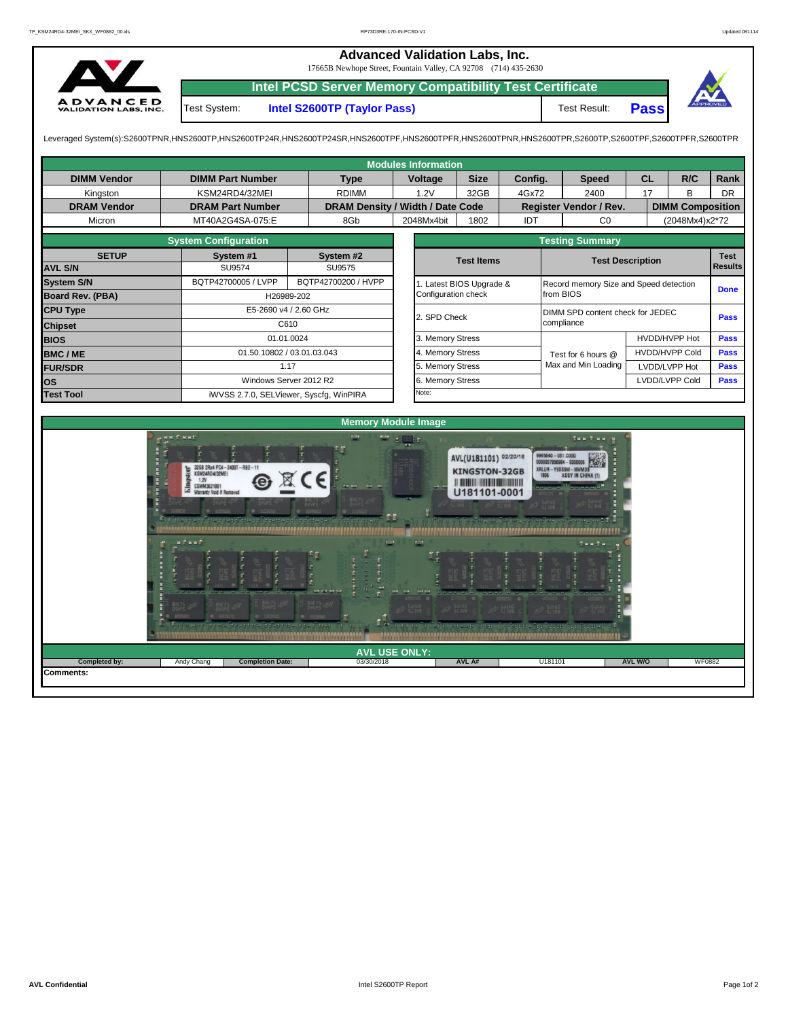**Advanced Validation Labs, Inc.**  17665B Newhope Street, Fountain Valley, CA 92708 (714) 435-2630 **Intel PCSD Server Memory Compatibility Test Certificate** A D V A N C E D<br>VALIDATION LABS, INC. Test System: **Intel S2600TP (Taylor Pass)** Test Result: **Pass**

Leveraged System(s):S2600TPNR,HNS2600TP,HNS2600TP24R,HNS2600TP24SR,HNS2600TPF,HNS2600TPFR,HNS2600TPNR,HNS2600TPR,S2600TP,S2600TPF,S2600TPFR,S2600TPR

| <b>Modules Information</b> |                                         |                                                                                                       |                                  |                              |                                  |                  |                                                                                                                |                                          |                                                              |                                        |                         |                |                               |                |  |
|----------------------------|-----------------------------------------|-------------------------------------------------------------------------------------------------------|----------------------------------|------------------------------|----------------------------------|------------------|----------------------------------------------------------------------------------------------------------------|------------------------------------------|--------------------------------------------------------------|----------------------------------------|-------------------------|----------------|-------------------------------|----------------|--|
| <b>DIMM Vendor</b>         | <b>DIMM Part Number</b>                 |                                                                                                       |                                  | <b>Type</b>                  | Voltage                          |                  | <b>Size</b>                                                                                                    | Config.                                  |                                                              | <b>Speed</b>                           | <b>CL</b>               |                | R/C                           | <b>Rank</b>    |  |
| Kingston                   |                                         | KSM24RD4/32MEI                                                                                        | <b>RDIMM</b>                     |                              | 1.2V                             | 32GB             | 4Gx72                                                                                                          |                                          | 2400                                                         | 17                                     |                         | B              | <b>DR</b>                     |                |  |
| <b>DRAM Vendor</b>         |                                         | <b>DRAM Part Number</b>                                                                               | DRAM Density / Width / Date Code |                              |                                  |                  |                                                                                                                |                                          | Register Vendor / Rev.                                       |                                        | <b>DIMM Composition</b> |                |                               |                |  |
| Micron                     |                                         | MT40A2G4SA-075:E                                                                                      |                                  | 8Gb                          | 2048Mx4bit                       |                  | 1802                                                                                                           | IDT                                      |                                                              | CO                                     |                         | (2048Mx4)x2*72 |                               |                |  |
|                            |                                         |                                                                                                       |                                  |                              |                                  |                  | <b>Testing Summary</b>                                                                                         |                                          |                                                              |                                        |                         |                |                               |                |  |
| <b>SETUP</b>               |                                         | System #1                                                                                             |                                  | System #2                    |                                  |                  | <b>Test Items</b>                                                                                              |                                          |                                                              | <b>Test Description</b>                |                         |                |                               |                |  |
| <b>AVL S/N</b>             |                                         | <b>SU9574</b>                                                                                         |                                  | <b>SU9575</b>                |                                  |                  |                                                                                                                |                                          |                                                              |                                        |                         |                |                               | <b>Results</b> |  |
| <b>System S/N</b>          |                                         | BQTP42700005 / LVPP                                                                                   |                                  | BQTP42700200 / HVPP          |                                  |                  | 1. Latest BIOS Upgrade &                                                                                       |                                          |                                                              | Record memory Size and Speed detection |                         |                |                               |                |  |
| Board Rev. (PBA)           |                                         | H26989-202                                                                                            |                                  |                              | Configuration check<br>from BIOS |                  |                                                                                                                |                                          |                                                              |                                        |                         |                |                               |                |  |
| <b>CPU Type</b>            |                                         | E5-2690 v4 / 2.60 GHz                                                                                 |                                  |                              | 2. SPD Check                     |                  |                                                                                                                | DIMM SPD content check for JEDEC<br>Pass |                                                              |                                        |                         |                |                               |                |  |
| <b>Chipset</b>             |                                         | C610                                                                                                  |                                  |                              | compliance                       |                  |                                                                                                                |                                          |                                                              |                                        |                         |                |                               |                |  |
| <b>BIOS</b>                |                                         | 01.01.0024                                                                                            |                                  |                              | 3. Memory Stress                 |                  |                                                                                                                |                                          |                                                              |                                        | HVDD/HVPP Hot           |                |                               | Pass           |  |
| <b>BMC/ME</b>              |                                         | 01.50.10802 / 03.01.03.043                                                                            |                                  |                              |                                  | 4. Memory Stress |                                                                                                                |                                          |                                                              | Test for 6 hours @                     | <b>HVDD/HVPP Cold</b>   |                |                               | Pass           |  |
| <b>FUR/SDR</b>             |                                         |                                                                                                       | 1.17                             |                              |                                  | 5. Memory Stress |                                                                                                                |                                          |                                                              | Max and Min Loading                    | LVDD/LVPP Hot           |                |                               | <b>Pass</b>    |  |
| <b>los</b>                 |                                         | Windows Server 2012 R2                                                                                |                                  |                              |                                  | 6. Memory Stress |                                                                                                                |                                          |                                                              |                                        |                         |                | LVDD/LVPP Cold<br><b>Pass</b> |                |  |
| <b>Test Tool</b>           | iWVSS 2.7.0, SELViewer, Syscfq, WinPIRA |                                                                                                       | Note:                            |                              |                                  |                  |                                                                                                                |                                          |                                                              |                                        |                         |                |                               |                |  |
|                            |                                         |                                                                                                       |                                  |                              |                                  |                  |                                                                                                                |                                          |                                                              |                                        |                         |                |                               |                |  |
| <b>Memory Module Image</b> |                                         |                                                                                                       |                                  |                              |                                  |                  |                                                                                                                |                                          |                                                              |                                        |                         |                |                               |                |  |
|                            | a KK f KKf                              | 32GB 2Rx4 PC4-2400T-RB2-11<br>KSM24RD4/32MEI<br>1.2V<br>SMM3621891<br><b>Warranty Void If Removed</b> |                                  | <b>Pink</b><br><b>TH KIR</b> | <b>El Tr</b>                     |                  | AVL(U181101) 02/20/18<br><b>KINGSTON-32GB</b><br><b>IN THE REAL PROPERTY AND REAL PROPERTY</b><br>U181101-0001 |                                          | 9965640 - 031.C00G<br>0000007956984 - \$0000<br>XRLUR-Y9DS9W | INN T.N.W.                             |                         |                |                               |                |  |

**Comments:**

03/30/2018 **AVL A#**

U<sub>181</sub>

...............

 $1.1.1$ 

**AVL USE ONLY: Completed by:** Andy Chang **AVL W/O** WF0882

 $\mathbf{f}$ 

,,,,,,,,,,,,,,,,,,,,,,,,

n

**Completion Date**